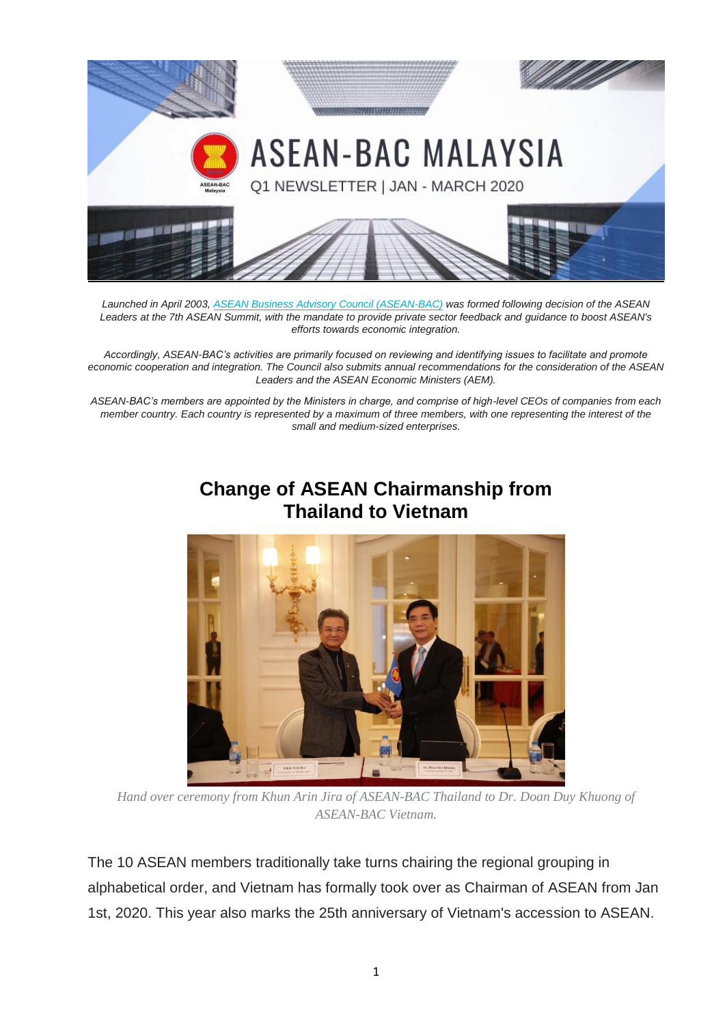

*Launched in April 2003, [ASEAN Business Advisory Council \(ASEAN-BAC\)](http://www.asean-bac.org/) was formed following decision of the ASEAN Leaders at the 7th ASEAN Summit, with the mandate to provide private sector feedback and guidance to boost ASEAN's efforts towards economic integration.*

*Accordingly, ASEAN-BAC's activities are primarily focused on reviewing and identifying issues to facilitate and promote economic cooperation and integration. The Council also submits annual recommendations for the consideration of the ASEAN Leaders and the ASEAN Economic Ministers (AEM).*

*ASEAN-BAC's members are appointed by the Ministers in charge, and comprise of high-level CEOs of companies from each member country. Each country is represented by a maximum of three members, with one representing the interest of the small and medium-sized enterprises.*

# **Change of ASEAN Chairmanship from Thailand to Vietnam**



*Hand over ceremony from Khun Arin Jira of ASEAN-BAC Thailand to Dr. Doan Duy Khuong of ASEAN-BAC Vietnam.*

The 10 ASEAN members traditionally take turns chairing the regional grouping in alphabetical order, and Vietnam has formally took over as Chairman of ASEAN from Jan 1st, 2020. This year also marks the 25th anniversary of Vietnam's accession to ASEAN.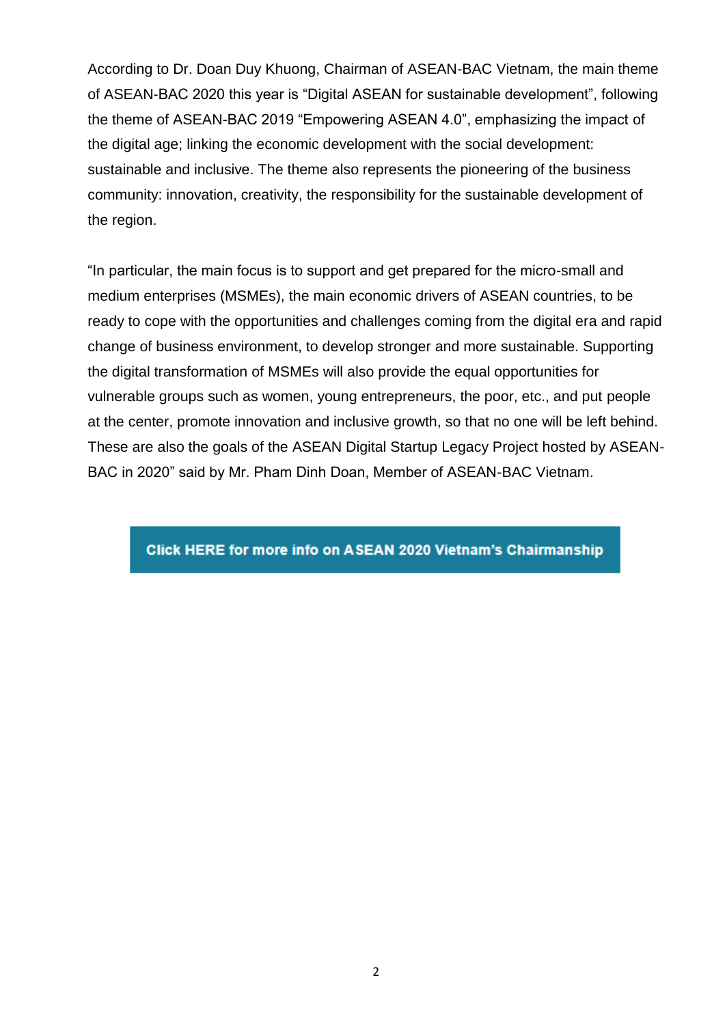According to Dr. Doan Duy Khuong, Chairman of ASEAN-BAC Vietnam, the main theme of ASEAN-BAC 2020 this year is "Digital ASEAN for sustainable development", following the theme of ASEAN-BAC 2019 "Empowering ASEAN 4.0", emphasizing the impact of the digital age; linking the economic development with the social development: sustainable and inclusive. The theme also represents the pioneering of the business community: innovation, creativity, the responsibility for the sustainable development of the region.

"In particular, the main focus is to support and get prepared for the micro-small and medium enterprises (MSMEs), the main economic drivers of ASEAN countries, to be ready to cope with the opportunities and challenges coming from the digital era and rapid change of business environment, to develop stronger and more sustainable. Supporting the digital transformation of MSMEs will also provide the equal opportunities for vulnerable groups such as women, young entrepreneurs, the poor, etc., and put people at the center, promote innovation and inclusive growth, so that no one will be left behind. These are also the goals of the ASEAN Digital Startup Legacy Project hosted by ASEAN-BAC in 2020" said by Mr. Pham Dinh Doan, Member of ASEAN-BAC Vietnam.

Click HERE for more info on ASEAN 2020 Vietnam's Chairmanship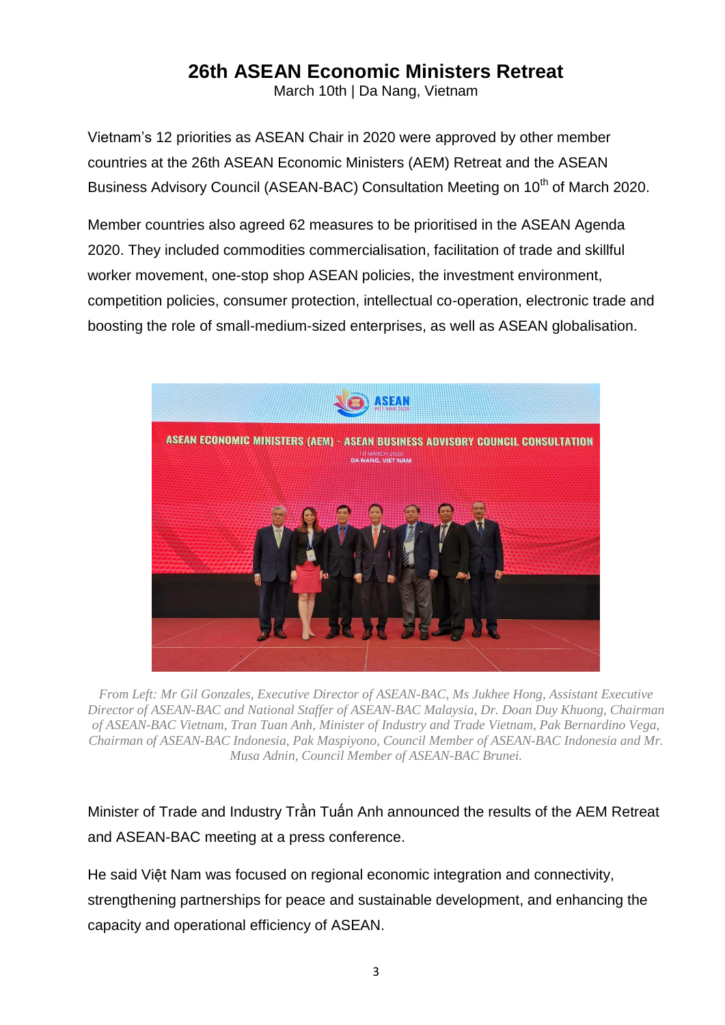# **26th ASEAN Economic Ministers Retreat**

March 10th | Da Nang, Vietnam

Vietnam's 12 priorities as ASEAN Chair in 2020 were approved by other member countries at the 26th ASEAN Economic Ministers (AEM) Retreat and the ASEAN Business Advisory Council (ASEAN-BAC) Consultation Meeting on 10<sup>th</sup> of March 2020.

Member countries also agreed 62 measures to be prioritised in the ASEAN Agenda 2020. They included commodities commercialisation, facilitation of trade and skillful worker movement, one-stop shop ASEAN policies, the investment environment, competition policies, consumer protection, intellectual co-operation, electronic trade and boosting the role of small-medium-sized enterprises, as well as ASEAN globalisation.



*From Left: Mr Gil Gonzales, Executive Director of ASEAN-BAC, Ms Jukhee Hong, Assistant Executive Director of ASEAN-BAC and National Staffer of ASEAN-BAC Malaysia, Dr. Doan Duy Khuong, Chairman of ASEAN-BAC Vietnam, Tran Tuan Anh, Minister of Industry and Trade Vietnam, Pak Bernardino Vega, Chairman of ASEAN-BAC Indonesia, Pak Maspiyono, Council Member of ASEAN-BAC Indonesia and Mr. Musa Adnin, Council Member of ASEAN-BAC Brunei.*

Minister of Trade and Industry Trần Tuấn Anh announced the results of the AEM Retreat and ASEAN-BAC meeting at a press conference.

He said Việt Nam was focused on regional economic integration and connectivity, strengthening partnerships for peace and sustainable development, and enhancing the capacity and operational efficiency of ASEAN.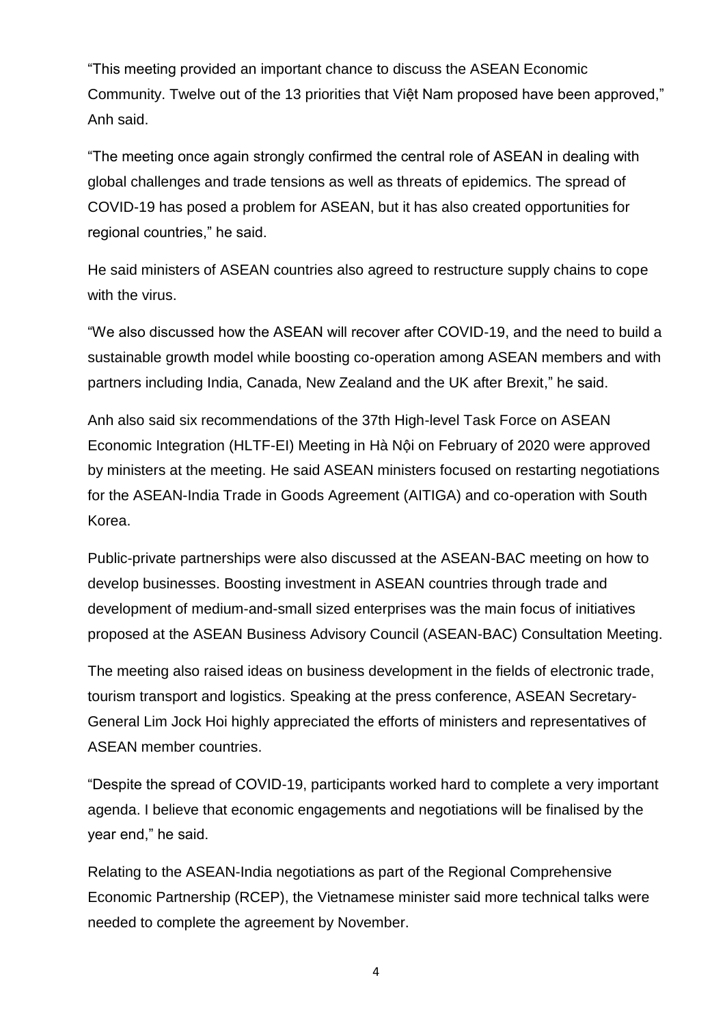"This meeting provided an important chance to discuss the ASEAN Economic Community. Twelve out of the 13 priorities that Việt Nam proposed have been approved," Anh said.

"The meeting once again strongly confirmed the central role of ASEAN in dealing with global challenges and trade tensions as well as threats of epidemics. The spread of COVID-19 has posed a problem for ASEAN, but it has also created opportunities for regional countries," he said.

He said ministers of ASEAN countries also agreed to restructure supply chains to cope with the virus.

"We also discussed how the ASEAN will recover after COVID-19, and the need to build a sustainable growth model while boosting co-operation among ASEAN members and with partners including India, Canada, New Zealand and the UK after Brexit," he said.

Anh also said six recommendations of the 37th High-level Task Force on ASEAN Economic Integration (HLTF-EI) Meeting in Hà Nội on February of 2020 were approved by ministers at the meeting. He said ASEAN ministers focused on restarting negotiations for the ASEAN-India Trade in Goods Agreement (AITIGA) and co-operation with South Korea.

Public-private partnerships were also discussed at the ASEAN-BAC meeting on how to develop businesses. Boosting investment in ASEAN countries through trade and development of medium-and-small sized enterprises was the main focus of initiatives proposed at the ASEAN Business Advisory Council (ASEAN-BAC) Consultation Meeting.

The meeting also raised ideas on business development in the fields of electronic trade, tourism transport and logistics. Speaking at the press conference, ASEAN Secretary-General Lim Jock Hoi highly appreciated the efforts of ministers and representatives of ASEAN member countries.

"Despite the spread of COVID-19, participants worked hard to complete a very important agenda. I believe that economic engagements and negotiations will be finalised by the year end," he said.

Relating to the ASEAN-India negotiations as part of the Regional Comprehensive Economic Partnership (RCEP), the Vietnamese minister said more technical talks were needed to complete the agreement by November.

4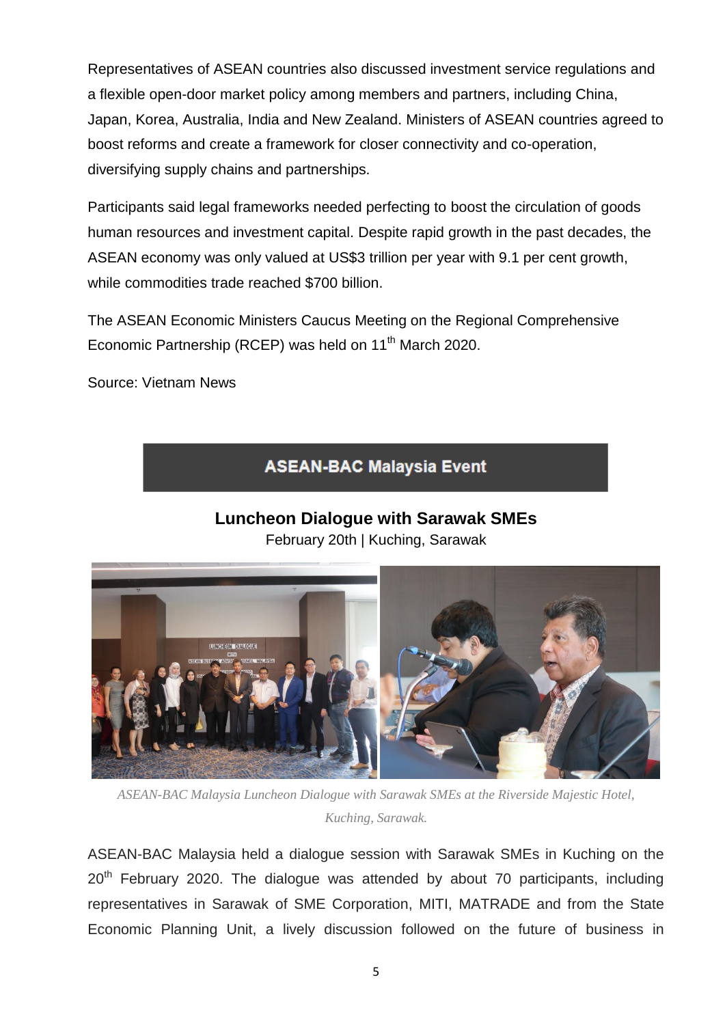Representatives of ASEAN countries also discussed investment service regulations and a flexible open-door market policy among members and partners, including China, Japan, Korea, Australia, India and New Zealand. Ministers of ASEAN countries agreed to boost reforms and create a framework for closer connectivity and co-operation, diversifying supply chains and partnerships.

Participants said legal frameworks needed perfecting to boost the circulation of goods human resources and investment capital. Despite rapid growth in the past decades, the ASEAN economy was only valued at US\$3 trillion per year with 9.1 per cent growth, while commodities trade reached \$700 billion.

The ASEAN Economic Ministers Caucus Meeting on the Regional Comprehensive Economic Partnership (RCEP) was held on 11<sup>th</sup> March 2020.

Source: Vietnam News

### **ASEAN-BAC Malaysia Event**

## **Luncheon Dialogue with Sarawak SMEs**

February 20th | Kuching, Sarawak



*ASEAN-BAC Malaysia Luncheon Dialogue with Sarawak SMEs at the Riverside Majestic Hotel, Kuching, Sarawak.*

ASEAN-BAC Malaysia held a dialogue session with Sarawak SMEs in Kuching on the 20<sup>th</sup> February 2020. The dialogue was attended by about 70 participants, including representatives in Sarawak of SME Corporation, MITI, MATRADE and from the State Economic Planning Unit, a lively discussion followed on the future of business in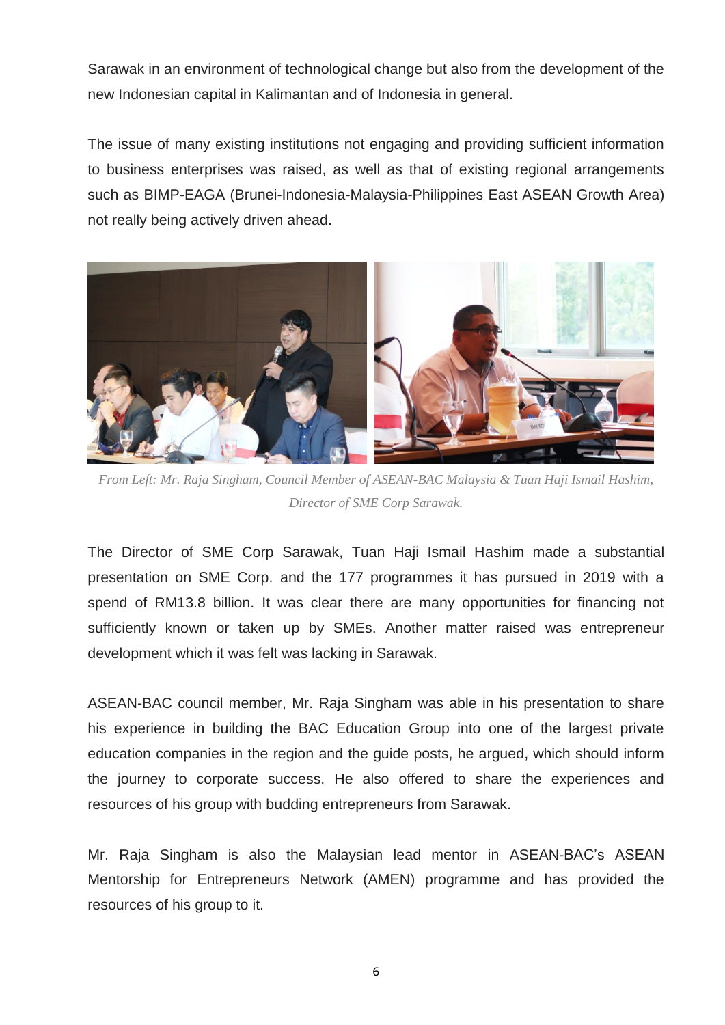Sarawak in an environment of technological change but also from the development of the new Indonesian capital in Kalimantan and of Indonesia in general.

The issue of many existing institutions not engaging and providing sufficient information to business enterprises was raised, as well as that of existing regional arrangements such as BIMP-EAGA (Brunei-Indonesia-Malaysia-Philippines East ASEAN Growth Area) not really being actively driven ahead.



*From Left: Mr. Raja Singham, Council Member of ASEAN-BAC Malaysia & Tuan Haji Ismail Hashim, Director of SME Corp Sarawak.*

The Director of SME Corp Sarawak, Tuan Haji Ismail Hashim made a substantial presentation on SME Corp. and the 177 programmes it has pursued in 2019 with a spend of RM13.8 billion. It was clear there are many opportunities for financing not sufficiently known or taken up by SMEs. Another matter raised was entrepreneur development which it was felt was lacking in Sarawak.

ASEAN-BAC council member, Mr. Raja Singham was able in his presentation to share his experience in building the BAC Education Group into one of the largest private education companies in the region and the guide posts, he argued, which should inform the journey to corporate success. He also offered to share the experiences and resources of his group with budding entrepreneurs from Sarawak.

Mr. Raja Singham is also the Malaysian lead mentor in ASEAN-BAC's ASEAN Mentorship for Entrepreneurs Network (AMEN) programme and has provided the resources of his group to it.

6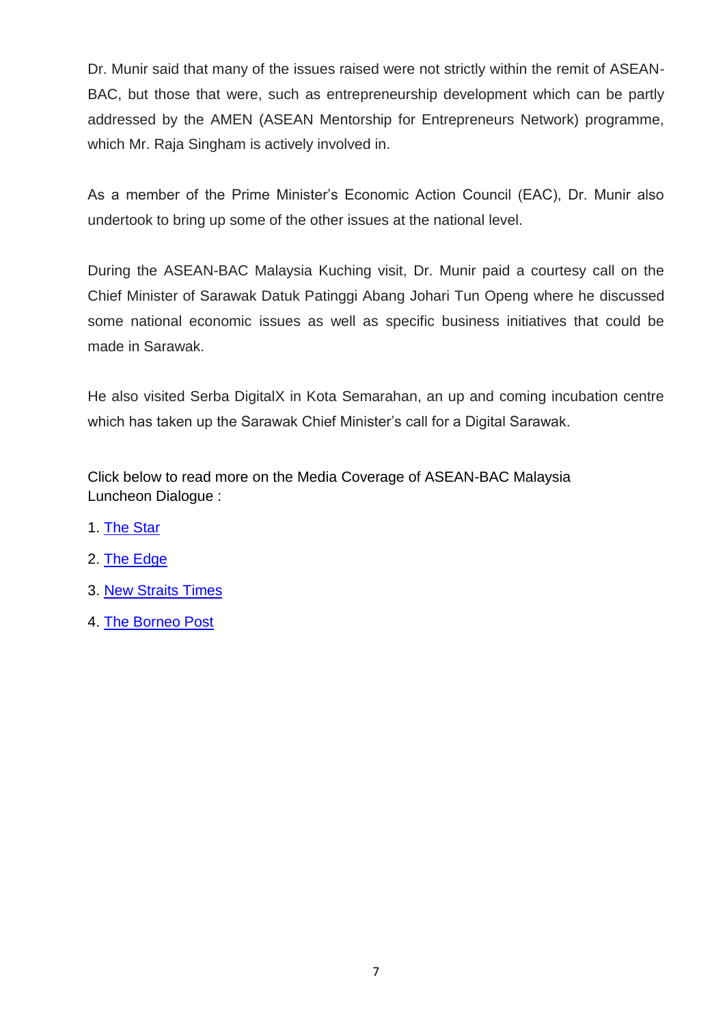Dr. Munir said that many of the issues raised were not strictly within the remit of ASEAN-BAC, but those that were, such as entrepreneurship development which can be partly addressed by the AMEN (ASEAN Mentorship for Entrepreneurs Network) programme, which Mr. Raja Singham is actively involved in.

As a member of the Prime Minister's Economic Action Council (EAC), Dr. Munir also undertook to bring up some of the other issues at the national level.

During the ASEAN-BAC Malaysia Kuching visit, Dr. Munir paid a courtesy call on the Chief Minister of Sarawak Datuk Patinggi Abang Johari Tun Openg where he discussed some national economic issues as well as specific business initiatives that could be made in Sarawak.

He also visited Serba DigitalX in Kota Semarahan, an up and coming incubation centre which has taken up the Sarawak Chief Minister's call for a Digital Sarawak.

Click below to read more on the Media Coverage of ASEAN-BAC Malaysia Luncheon Dialogue :

- 1. [The Star](https://www.thestar.com.my/business/business-news/2020/02/20/asean-bac-malaysia-engages-sarawak-smes)
- 2. [The Edge](https://www.theedgemarkets.com/article/aseanbac-malaysia-holds-dialogue-sarawak-smes)
- 3. [New Straits](https://www.nst.com.my/news/nation/2020/02/567369/asean-bac-continue-its-focus-sme-development-sarawak) Times
- 4. [The Borneo Post](https://www.theborneopost.com/2020/02/21/swak-smes-need-to-evolve-and-expand-market-reach/)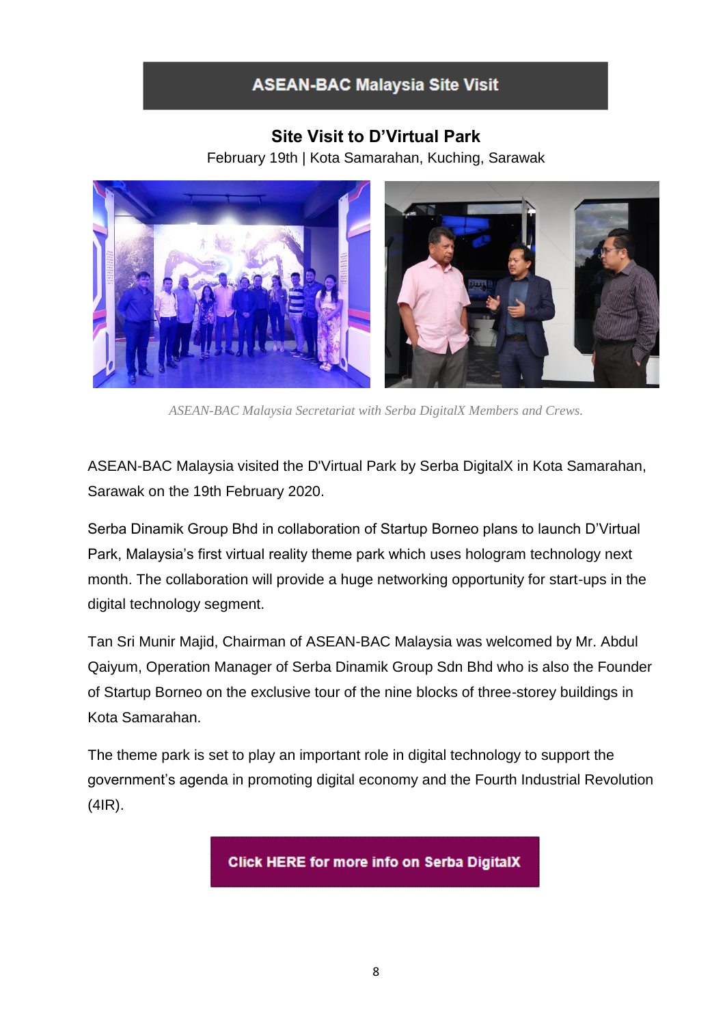## **ASEAN-BAC Malaysia Site Visit**

### **Site Visit to D'Virtual Park**

February 19th | Kota Samarahan, Kuching, Sarawak



*ASEAN-BAC Malaysia Secretariat with Serba DigitalX Members and Crews.*

ASEAN-BAC Malaysia visited the D'Virtual Park by Serba DigitalX in Kota Samarahan, Sarawak on the 19th February 2020.

Serba Dinamik Group Bhd in collaboration of Startup Borneo plans to launch D'Virtual Park, Malaysia's first virtual reality theme park which uses hologram technology next month. The collaboration will provide a huge networking opportunity for start-ups in the digital technology segment.

Tan Sri Munir Majid, Chairman of ASEAN-BAC Malaysia was welcomed by Mr. Abdul Qaiyum, Operation Manager of Serba Dinamik Group Sdn Bhd who is also the Founder of Startup Borneo on the exclusive tour of the nine blocks of three-storey buildings in Kota Samarahan.

The theme park is set to play an important role in digital technology to support the government's agenda in promoting digital economy and the Fourth Industrial Revolution (4IR).

**Click HERE for more info on Serba DigitalX**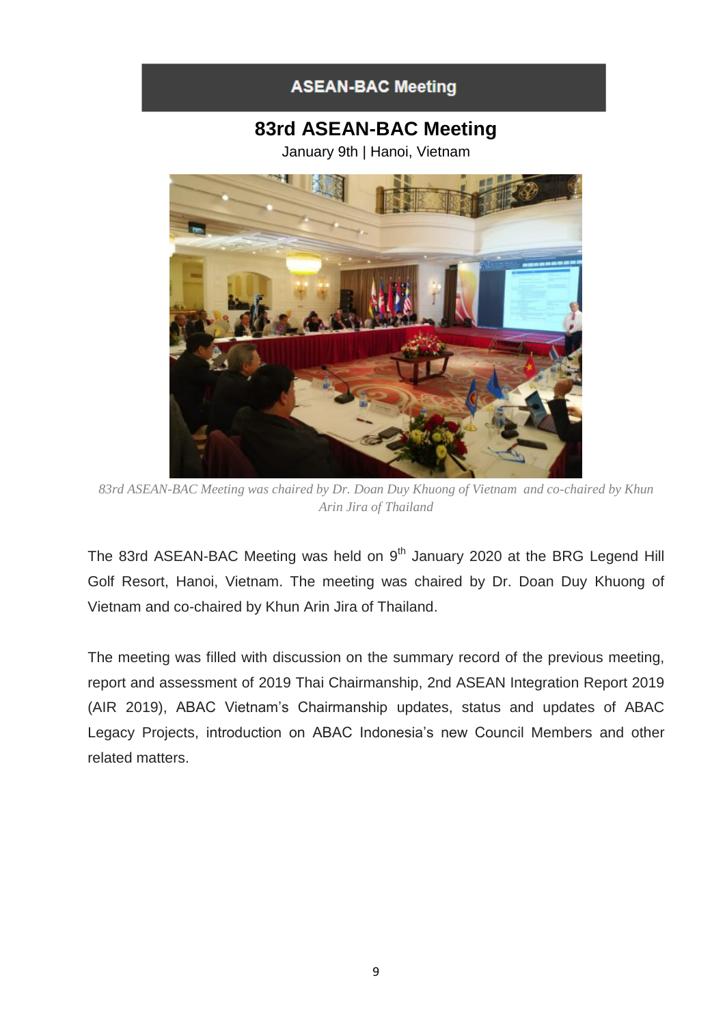## **ASEAN-BAC Meeting**

# **83rd ASEAN-BAC Meeting**

January 9th | Hanoi, Vietnam



*83rd ASEAN-BAC Meeting was chaired by Dr. Doan Duy Khuong of Vietnam and co-chaired by Khun Arin Jira of Thailand*

The 83rd ASEAN-BAC Meeting was held on  $9<sup>th</sup>$  January 2020 at the BRG Legend Hill Golf Resort, Hanoi, Vietnam. The meeting was chaired by Dr. Doan Duy Khuong of Vietnam and co-chaired by Khun Arin Jira of Thailand.

The meeting was filled with discussion on the summary record of the previous meeting, report and assessment of 2019 Thai Chairmanship, 2nd ASEAN Integration Report 2019 (AIR 2019), ABAC Vietnam's Chairmanship updates, status and updates of ABAC Legacy Projects, introduction on ABAC Indonesia's new Council Members and other related matters.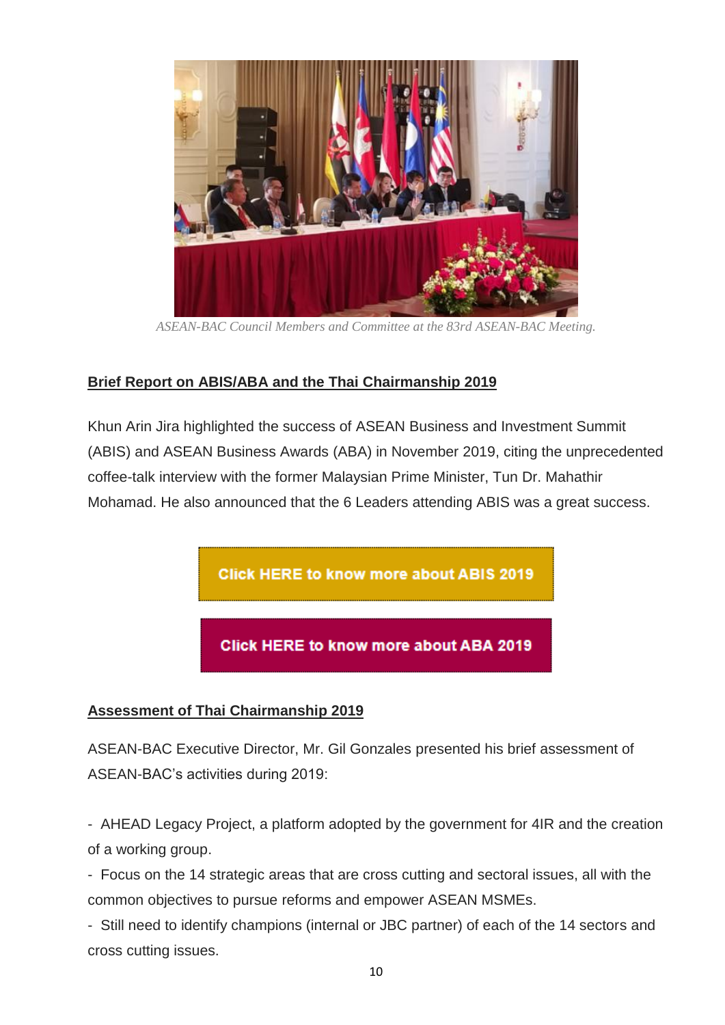

*ASEAN-BAC Council Members and Committee at the 83rd ASEAN-BAC Meeting.*

#### **Brief Report on ABIS/ABA and the Thai Chairmanship 2019**

Khun Arin Jira highlighted the success of ASEAN Business and Investment Summit (ABIS) and ASEAN Business Awards (ABA) in November 2019, citing the unprecedented coffee-talk interview with the former Malaysian Prime Minister, Tun Dr. Mahathir Mohamad. He also announced that the 6 Leaders attending ABIS was a great success.

**Click HERE to know more about ABIS 2019** 

**Click HERE to know more about ABA 2019** 

#### **Assessment of Thai Chairmanship 2019**

ASEAN-BAC Executive Director, Mr. Gil Gonzales presented his brief assessment of ASEAN-BAC's activities during 2019:

- AHEAD Legacy Project, a platform adopted by the government for 4IR and the creation of a working group.

- Focus on the 14 strategic areas that are cross cutting and sectoral issues, all with the common objectives to pursue reforms and empower ASEAN MSMEs.

- Still need to identify champions (internal or JBC partner) of each of the 14 sectors and cross cutting issues.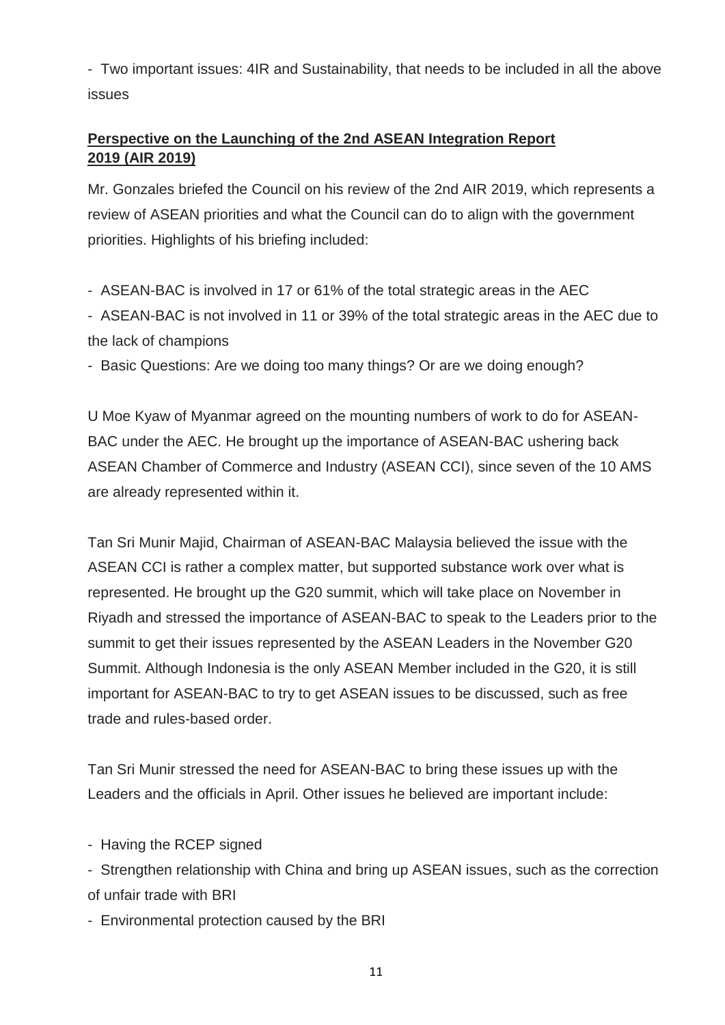- Two important issues: 4IR and Sustainability, that needs to be included in all the above issues

### **Perspective on the Launching of the 2nd ASEAN Integration Report 2019 (AIR 2019)**

Mr. Gonzales briefed the Council on his review of the 2nd AIR 2019, which represents a review of ASEAN priorities and what the Council can do to align with the government priorities. Highlights of his briefing included:

- ASEAN-BAC is involved in 17 or 61% of the total strategic areas in the AEC

- ASEAN-BAC is not involved in 11 or 39% of the total strategic areas in the AEC due to the lack of champions

- Basic Questions: Are we doing too many things? Or are we doing enough?

U Moe Kyaw of Myanmar agreed on the mounting numbers of work to do for ASEAN-BAC under the AEC. He brought up the importance of ASEAN-BAC ushering back ASEAN Chamber of Commerce and Industry (ASEAN CCI), since seven of the 10 AMS are already represented within it.

Tan Sri Munir Majid, Chairman of ASEAN-BAC Malaysia believed the issue with the ASEAN CCI is rather a complex matter, but supported substance work over what is represented. He brought up the G20 summit, which will take place on November in Riyadh and stressed the importance of ASEAN-BAC to speak to the Leaders prior to the summit to get their issues represented by the ASEAN Leaders in the November G20 Summit. Although Indonesia is the only ASEAN Member included in the G20, it is still important for ASEAN-BAC to try to get ASEAN issues to be discussed, such as free trade and rules-based order.

Tan Sri Munir stressed the need for ASEAN-BAC to bring these issues up with the Leaders and the officials in April. Other issues he believed are important include:

- Having the RCEP signed

- Strengthen relationship with China and bring up ASEAN issues, such as the correction of unfair trade with BRI

- Environmental protection caused by the BRI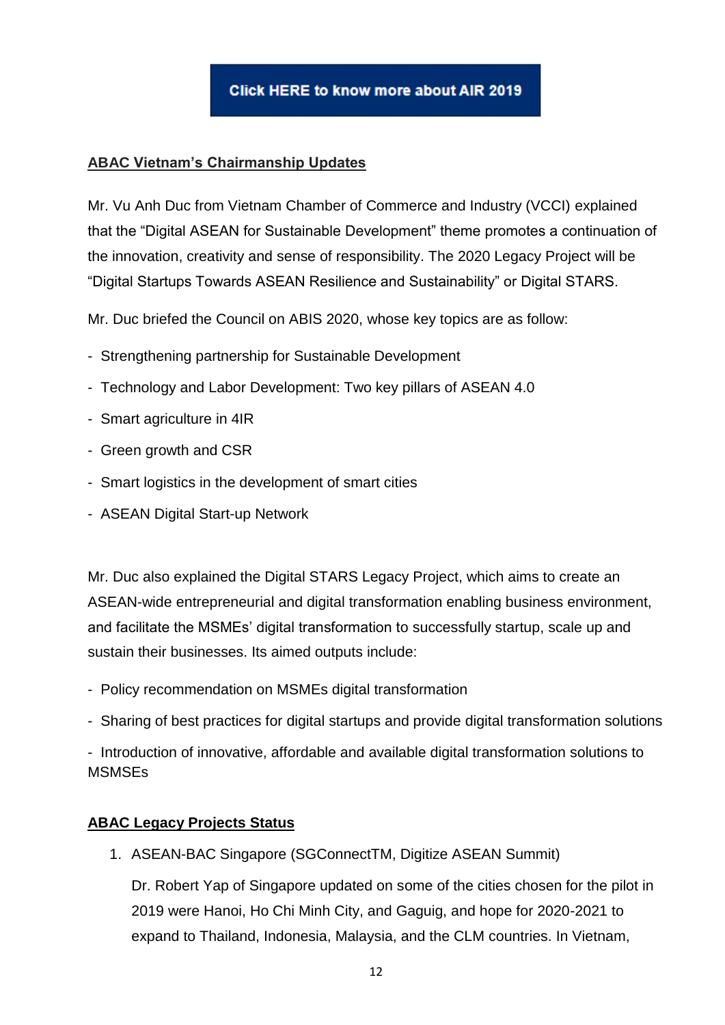

#### **ABAC Vietnam's Chairmanship Updates**

Mr. Vu Anh Duc from Vietnam Chamber of Commerce and Industry (VCCI) explained that the "Digital ASEAN for Sustainable Development" theme promotes a continuation of the innovation, creativity and sense of responsibility. The 2020 Legacy Project will be "Digital Startups Towards ASEAN Resilience and Sustainability" or Digital STARS.

Mr. Duc briefed the Council on ABIS 2020, whose key topics are as follow:

- Strengthening partnership for Sustainable Development
- Technology and Labor Development: Two key pillars of ASEAN 4.0
- Smart agriculture in 4IR
- Green growth and CSR
- Smart logistics in the development of smart cities
- ASEAN Digital Start-up Network

Mr. Duc also explained the Digital STARS Legacy Project, which aims to create an ASEAN-wide entrepreneurial and digital transformation enabling business environment, and facilitate the MSMEs' digital transformation to successfully startup, scale up and sustain their businesses. Its aimed outputs include:

- Policy recommendation on MSMEs digital transformation
- Sharing of best practices for digital startups and provide digital transformation solutions

- Introduction of innovative, affordable and available digital transformation solutions to **MSMSEs** 

#### **ABAC Legacy Projects Status**

1. ASEAN-BAC Singapore (SGConnectTM, Digitize ASEAN Summit)

Dr. Robert Yap of Singapore updated on some of the cities chosen for the pilot in 2019 were Hanoi, Ho Chi Minh City, and Gaguig, and hope for 2020-2021 to expand to Thailand, Indonesia, Malaysia, and the CLM countries. In Vietnam,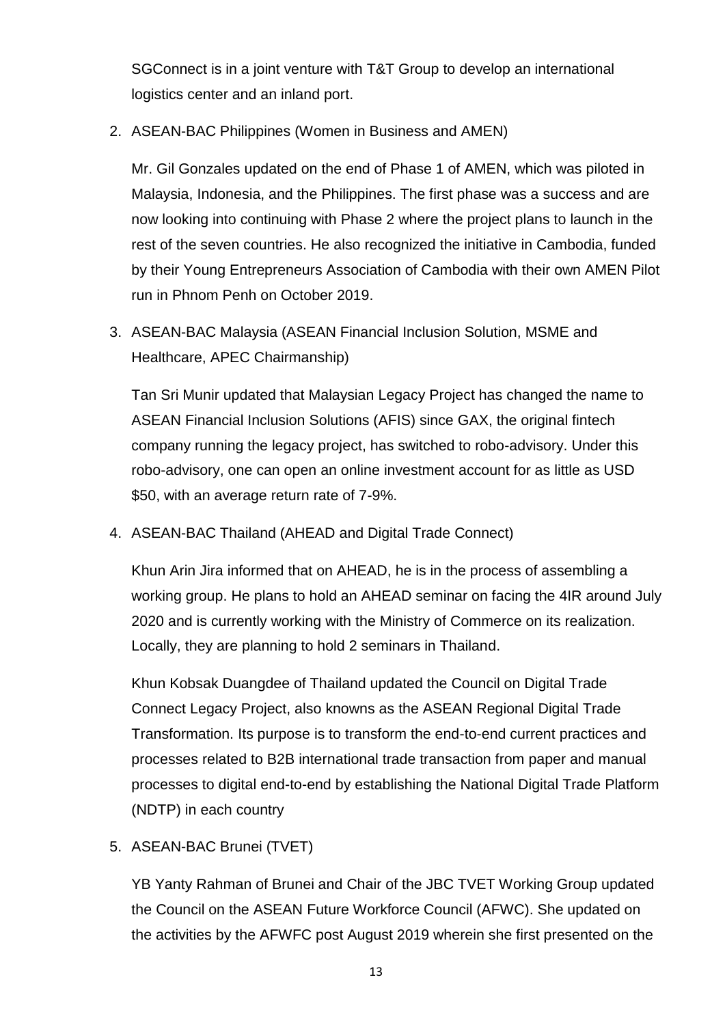SGConnect is in a joint venture with T&T Group to develop an international logistics center and an inland port.

2. ASEAN-BAC Philippines (Women in Business and AMEN)

Mr. Gil Gonzales updated on the end of Phase 1 of AMEN, which was piloted in Malaysia, Indonesia, and the Philippines. The first phase was a success and are now looking into continuing with Phase 2 where the project plans to launch in the rest of the seven countries. He also recognized the initiative in Cambodia, funded by their Young Entrepreneurs Association of Cambodia with their own AMEN Pilot run in Phnom Penh on October 2019.

3. ASEAN-BAC Malaysia (ASEAN Financial Inclusion Solution, MSME and Healthcare, APEC Chairmanship)

Tan Sri Munir updated that Malaysian Legacy Project has changed the name to ASEAN Financial Inclusion Solutions (AFIS) since GAX, the original fintech company running the legacy project, has switched to robo-advisory. Under this robo-advisory, one can open an online investment account for as little as USD \$50, with an average return rate of 7-9%.

4. ASEAN-BAC Thailand (AHEAD and Digital Trade Connect)

Khun Arin Jira informed that on AHEAD, he is in the process of assembling a working group. He plans to hold an AHEAD seminar on facing the 4IR around July 2020 and is currently working with the Ministry of Commerce on its realization. Locally, they are planning to hold 2 seminars in Thailand.

Khun Kobsak Duangdee of Thailand updated the Council on Digital Trade Connect Legacy Project, also knowns as the ASEAN Regional Digital Trade Transformation. Its purpose is to transform the end-to-end current practices and processes related to B2B international trade transaction from paper and manual processes to digital end-to-end by establishing the National Digital Trade Platform (NDTP) in each country

5. ASEAN-BAC Brunei (TVET)

YB Yanty Rahman of Brunei and Chair of the JBC TVET Working Group updated the Council on the ASEAN Future Workforce Council (AFWC). She updated on the activities by the AFWFC post August 2019 wherein she first presented on the